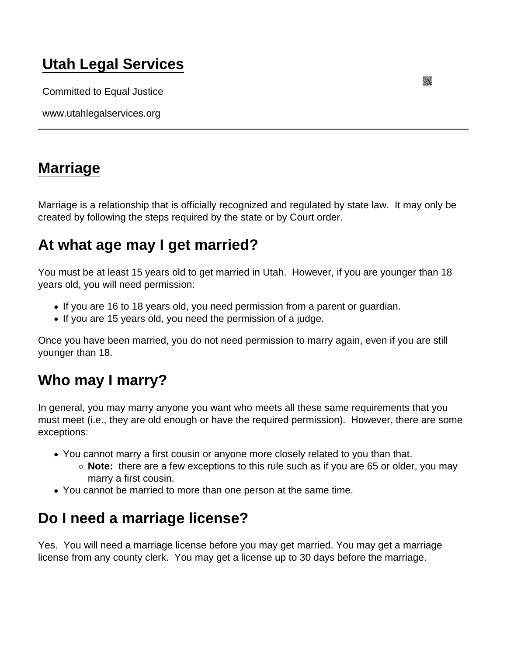## [Utah Legal Services](https://www.utahlegalservices.org/)

Committed to Equal Justice

www.utahlegalservices.org

#### [Marriage](https://www.utahlegalservices.org/node/33/marriage)

Marriage is a relationship that is officially recognized and regulated by state law. It may only be created by following the steps required by the state or by Court order.

## At what age may I get married?

You must be at least 15 years old to get married in Utah. However, if you are younger than 18 years old, you will need permission:

- If you are 16 to 18 years old, you need permission from a parent or guardian.
- If you are 15 years old, you need the permission of a judge.

Once you have been married, you do not need permission to marry again, even if you are still younger than 18.

## Who may I marry?

In general, you may marry anyone you want who meets all these same requirements that you must meet (i.e., they are old enough or have the required permission). However, there are some exceptions:

- You cannot marry a first cousin or anyone more closely related to you than that.
	- $\circ$  Note: there are a few exceptions to this rule such as if you are 65 or older, you may marry a first cousin.
- You cannot be married to more than one person at the same time.

## Do I need a marriage license?

Yes. You will need a marriage license before you may get married. You may get a marriage license from any county clerk. You may get a license up to 30 days before the marriage.